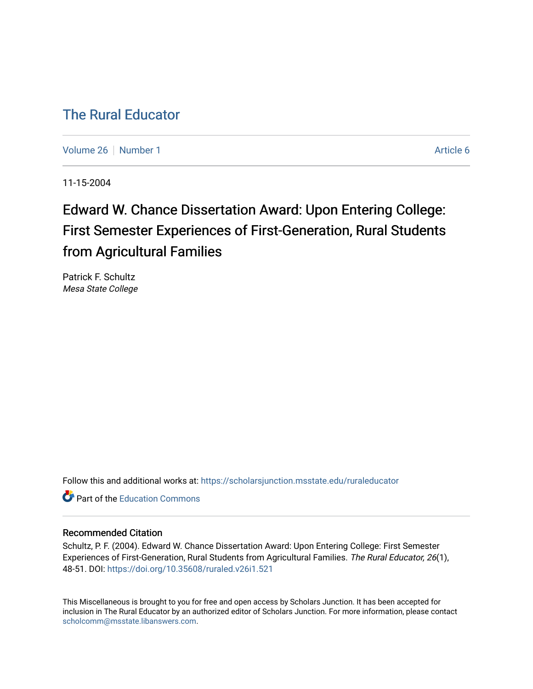## [The Rural Educator](https://scholarsjunction.msstate.edu/ruraleducator)

[Volume 26](https://scholarsjunction.msstate.edu/ruraleducator/vol26) [Number 1](https://scholarsjunction.msstate.edu/ruraleducator/vol26/iss1) Article 6

11-15-2004

# Edward W. Chance Dissertation Award: Upon Entering College: First Semester Experiences of First-Generation, Rural Students from Agricultural Families

Patrick F. Schultz Mesa State College

Follow this and additional works at: [https://scholarsjunction.msstate.edu/ruraleducator](https://scholarsjunction.msstate.edu/ruraleducator?utm_source=scholarsjunction.msstate.edu%2Fruraleducator%2Fvol26%2Fiss1%2F6&utm_medium=PDF&utm_campaign=PDFCoverPages)

**C** Part of the [Education Commons](http://network.bepress.com/hgg/discipline/784?utm_source=scholarsjunction.msstate.edu%2Fruraleducator%2Fvol26%2Fiss1%2F6&utm_medium=PDF&utm_campaign=PDFCoverPages)

#### Recommended Citation

Schultz, P. F. (2004). Edward W. Chance Dissertation Award: Upon Entering College: First Semester Experiences of First-Generation, Rural Students from Agricultural Families. The Rural Educator, 26(1), 48-51. DOI:<https://doi.org/10.35608/ruraled.v26i1.521>

This Miscellaneous is brought to you for free and open access by Scholars Junction. It has been accepted for inclusion in The Rural Educator by an authorized editor of Scholars Junction. For more information, please contact [scholcomm@msstate.libanswers.com.](mailto:scholcomm@msstate.libanswers.com)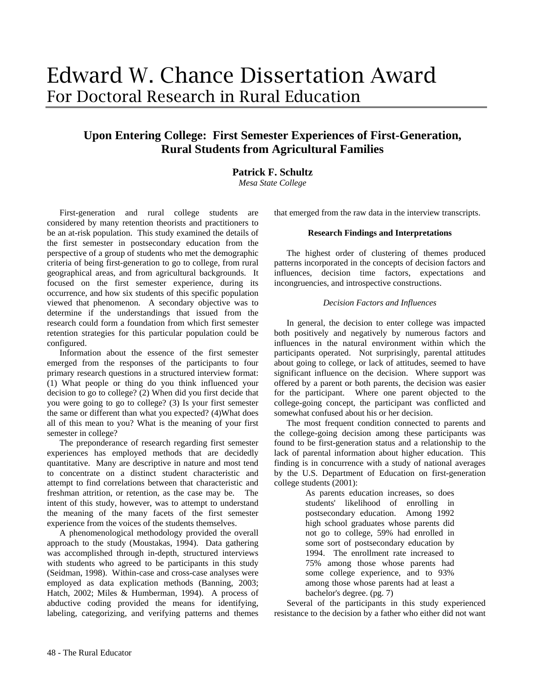### **Upon Entering College: First Semester Experiences of First-Generation, Rural Students from Agricultural Families**

#### **Patrick F. Schultz**

*Mesa State College* 

First-generation and rural college students are considered by many retention theorists and practitioners to be an at-risk population. This study examined the details of the first semester in postsecondary education from the perspective of a group of students who met the demographic criteria of being first-generation to go to college, from rural geographical areas, and from agricultural backgrounds. It focused on the first semester experience, during its occurrence, and how six students of this specific population viewed that phenomenon. A secondary objective was to determine if the understandings that issued from the research could form a foundation from which first semester retention strategies for this particular population could be configured.

Information about the essence of the first semester emerged from the responses of the participants to four primary research questions in a structured interview format: (1) What people or thing do you think influenced your decision to go to college? (2) When did you first decide that you were going to go to college? (3) Is your first semester the same or different than what you expected? (4)What does all of this mean to you? What is the meaning of your first semester in college?

The preponderance of research regarding first semester experiences has employed methods that are decidedly quantitative. Many are descriptive in nature and most tend to concentrate on a distinct student characteristic and attempt to find correlations between that characteristic and freshman attrition, or retention, as the case may be. The intent of this study, however, was to attempt to understand the meaning of the many facets of the first semester experience from the voices of the students themselves.

A phenomenological methodology provided the overall approach to the study (Moustakas, 1994). Data gathering was accomplished through in-depth, structured interviews with students who agreed to be participants in this study (Seidman, 1998). Within-case and cross-case analyses were employed as data explication methods (Banning, 2003; Hatch, 2002; Miles & Humberman, 1994). A process of abductive coding provided the means for identifying, labeling, categorizing, and verifying patterns and themes

that emerged from the raw data in the interview transcripts.

#### **Research Findings and Interpretations**

The highest order of clustering of themes produced patterns incorporated in the concepts of decision factors and influences, decision time factors, expectations and incongruencies, and introspective constructions.

#### *Decision Factors and Influences*

In general, the decision to enter college was impacted both positively and negatively by numerous factors and influences in the natural environment within which the participants operated. Not surprisingly, parental attitudes about going to college, or lack of attitudes, seemed to have significant influence on the decision. Where support was offered by a parent or both parents, the decision was easier for the participant. Where one parent objected to the college-going concept, the participant was conflicted and somewhat confused about his or her decision.

The most frequent condition connected to parents and the college-going decision among these participants was found to be first-generation status and a relationship to the lack of parental information about higher education. This finding is in concurrence with a study of national averages by the U.S. Department of Education on first-generation college students (2001):

As parents education increases, so does students' likelihood of enrolling in postsecondary education. Among 1992 high school graduates whose parents did not go to college, 59% had enrolled in some sort of postsecondary education by 1994. The enrollment rate increased to 75% among those whose parents had some college experience, and to 93% among those whose parents had at least a bachelor's degree. (pg. 7)

Several of the participants in this study experienced resistance to the decision by a father who either did not want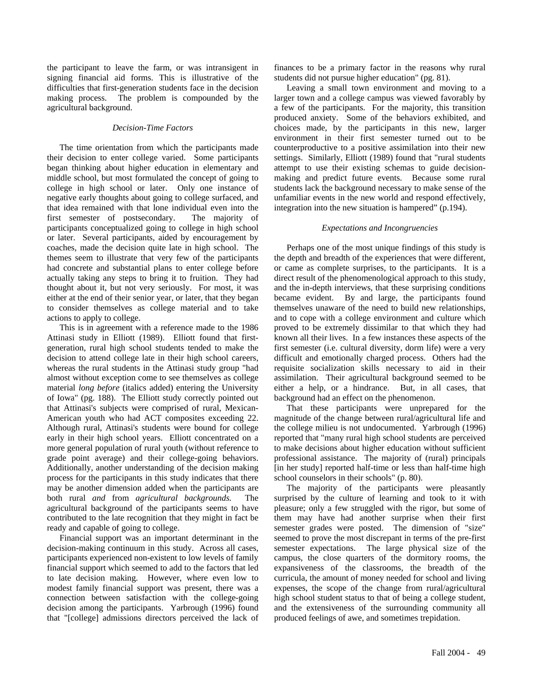the participant to leave the farm, or was intransigent in signing financial aid forms. This is illustrative of the difficulties that first-generation students face in the decision making process. The problem is compounded by the agricultural background.

#### *Decision-Time Factors*

The time orientation from which the participants made their decision to enter college varied. Some participants began thinking about higher education in elementary and middle school, but most formulated the concept of going to college in high school or later. Only one instance of negative early thoughts about going to college surfaced, and that idea remained with that lone individual even into the first semester of postsecondary. The majority of participants conceptualized going to college in high school or later. Several participants, aided by encouragement by coaches, made the decision quite late in high school. The themes seem to illustrate that very few of the participants had concrete and substantial plans to enter college before actually taking any steps to bring it to fruition. They had thought about it, but not very seriously. For most, it was either at the end of their senior year, or later, that they began to consider themselves as college material and to take actions to apply to college.

This is in agreement with a reference made to the 1986 Attinasi study in Elliott (1989). Elliott found that firstgeneration, rural high school students tended to make the decision to attend college late in their high school careers, whereas the rural students in the Attinasi study group "had almost without exception come to see themselves as college material *long before* (italics added) entering the University of Iowa" (pg. 188). The Elliott study correctly pointed out that Attinasi's subjects were comprised of rural, Mexican-American youth who had ACT composites exceeding 22. Although rural, Attinasi's students were bound for college early in their high school years. Elliott concentrated on a more general population of rural youth (without reference to grade point average) and their college-going behaviors. Additionally, another understanding of the decision making process for the participants in this study indicates that there may be another dimension added when the participants are both rural *and* from *agricultural backgrounds.* The agricultural background of the participants seems to have contributed to the late recognition that they might in fact be ready and capable of going to college.

Financial support was an important determinant in the decision-making continuum in this study. Across all cases, participants experienced non-existent to low levels of family financial support which seemed to add to the factors that led to late decision making. However, where even low to modest family financial support was present, there was a connection between satisfaction with the college-going decision among the participants. Yarbrough (1996) found that "[college] admissions directors perceived the lack of finances to be a primary factor in the reasons why rural students did not pursue higher education" (pg. 81).

Leaving a small town environment and moving to a larger town and a college campus was viewed favorably by a few of the participants. For the majority, this transition produced anxiety. Some of the behaviors exhibited, and choices made, by the participants in this new, larger environment in their first semester turned out to be counterproductive to a positive assimilation into their new settings. Similarly, Elliott (1989) found that "rural students attempt to use their existing schemas to guide decisionmaking and predict future events. Because some rural students lack the background necessary to make sense of the unfamiliar events in the new world and respond effectively, integration into the new situation is hampered" (p.194).

#### *Expectations and Incongruencies*

Perhaps one of the most unique findings of this study is the depth and breadth of the experiences that were different, or came as complete surprises, to the participants. It is a direct result of the phenomenological approach to this study, and the in-depth interviews, that these surprising conditions became evident. By and large, the participants found themselves unaware of the need to build new relationships, and to cope with a college environment and culture which proved to be extremely dissimilar to that which they had known all their lives. In a few instances these aspects of the first semester (i.e. cultural diversity, dorm life) were a very difficult and emotionally charged process. Others had the requisite socialization skills necessary to aid in their assimilation. Their agricultural background seemed to be either a help, or a hindrance. But, in all cases, that background had an effect on the phenomenon.

That these participants were unprepared for the magnitude of the change between rural/agricultural life and the college milieu is not undocumented. Yarbrough (1996) reported that "many rural high school students are perceived to make decisions about higher education without sufficient professional assistance. The majority of (rural) principals [in her study] reported half-time or less than half-time high school counselors in their schools" (p. 80).

The majority of the participants were pleasantly surprised by the culture of learning and took to it with pleasure; only a few struggled with the rigor, but some of them may have had another surprise when their first semester grades were posted. The dimension of "size" seemed to prove the most discrepant in terms of the pre-first semester expectations. The large physical size of the campus, the close quarters of the dormitory rooms, the expansiveness of the classrooms, the breadth of the curricula, the amount of money needed for school and living expenses, the scope of the change from rural/agricultural high school student status to that of being a college student, and the extensiveness of the surrounding community all produced feelings of awe, and sometimes trepidation.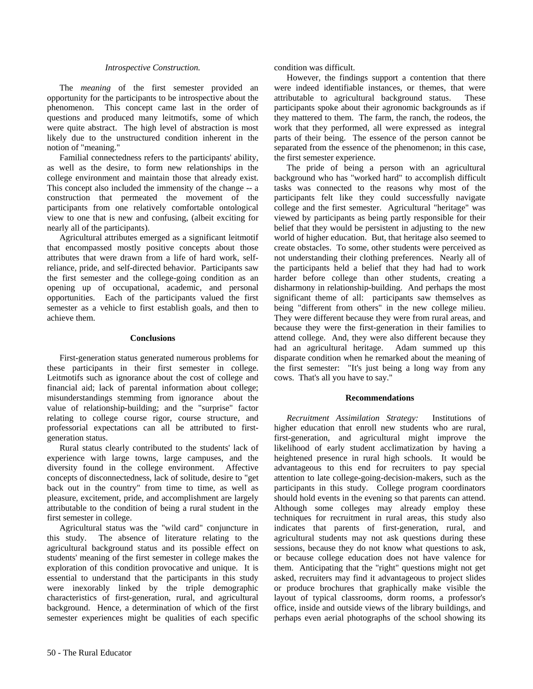#### *Introspective Construction.*

The *meaning* of the first semester provided an opportunity for the participants to be introspective about the phenomenon. This concept came last in the order of questions and produced many leitmotifs, some of which were quite abstract. The high level of abstraction is most likely due to the unstructured condition inherent in the notion of "meaning."

Familial connectedness refers to the participants' ability, as well as the desire, to form new relationships in the college environment and maintain those that already exist. This concept also included the immensity of the change -- a construction that permeated the movement of the participants from one relatively comfortable ontological view to one that is new and confusing, (albeit exciting for nearly all of the participants).

Agricultural attributes emerged as a significant leitmotif that encompassed mostly positive concepts about those attributes that were drawn from a life of hard work, selfreliance, pride, and self-directed behavior. Participants saw the first semester and the college-going condition as an opening up of occupational, academic, and personal opportunities. Each of the participants valued the first semester as a vehicle to first establish goals, and then to achieve them.

#### **Conclusions**

First-generation status generated numerous problems for these participants in their first semester in college. Leitmotifs such as ignorance about the cost of college and financial aid; lack of parental information about college; misunderstandings stemming from ignorance about the value of relationship-building; and the "surprise" factor relating to college course rigor, course structure, and professorial expectations can all be attributed to firstgeneration status.

Rural status clearly contributed to the students' lack of experience with large towns, large campuses, and the diversity found in the college environment. Affective concepts of disconnectedness, lack of solitude, desire to "get back out in the country" from time to time, as well as pleasure, excitement, pride, and accomplishment are largely attributable to the condition of being a rural student in the first semester in college.

Agricultural status was the "wild card" conjuncture in this study. The absence of literature relating to the agricultural background status and its possible effect on students' meaning of the first semester in college makes the exploration of this condition provocative and unique. It is essential to understand that the participants in this study were inexorably linked by the triple demographic characteristics of first-generation, rural, and agricultural background. Hence, a determination of which of the first semester experiences might be qualities of each specific

However, the findings support a contention that there were indeed identifiable instances, or themes, that were attributable to agricultural background status. These participants spoke about their agronomic backgrounds as if they mattered to them. The farm, the ranch, the rodeos, the work that they performed, all were expressed as integral parts of their being. The essence of the person cannot be separated from the essence of the phenomenon; in this case, the first semester experience.

The pride of being a person with an agricultural background who has "worked hard" to accomplish difficult tasks was connected to the reasons why most of the participants felt like they could successfully navigate college and the first semester. Agricultural "heritage" was viewed by participants as being partly responsible for their belief that they would be persistent in adjusting to the new world of higher education. But, that heritage also seemed to create obstacles. To some, other students were perceived as not understanding their clothing preferences. Nearly all of the participants held a belief that they had had to work harder before college than other students, creating a disharmony in relationship-building. And perhaps the most significant theme of all: participants saw themselves as being "different from others" in the new college milieu. They were different because they were from rural areas, and because they were the first-generation in their families to attend college. And, they were also different because they had an agricultural heritage. Adam summed up this disparate condition when he remarked about the meaning of the first semester: "It's just being a long way from any cows. That's all you have to say."

#### **Recommendations**

*Recruitment Assimilation Strategy:* Institutions of higher education that enroll new students who are rural, first-generation, and agricultural might improve the likelihood of early student acclimatization by having a heightened presence in rural high schools. It would be advantageous to this end for recruiters to pay special attention to late college-going-decision-makers, such as the participants in this study. College program coordinators should hold events in the evening so that parents can attend. Although some colleges may already employ these techniques for recruitment in rural areas, this study also indicates that parents of first-generation, rural, and agricultural students may not ask questions during these sessions, because they do not know what questions to ask, or because college education does not have valence for them. Anticipating that the "right" questions might not get asked, recruiters may find it advantageous to project slides or produce brochures that graphically make visible the layout of typical classrooms, dorm rooms, a professor's office, inside and outside views of the library buildings, and perhaps even aerial photographs of the school showing its